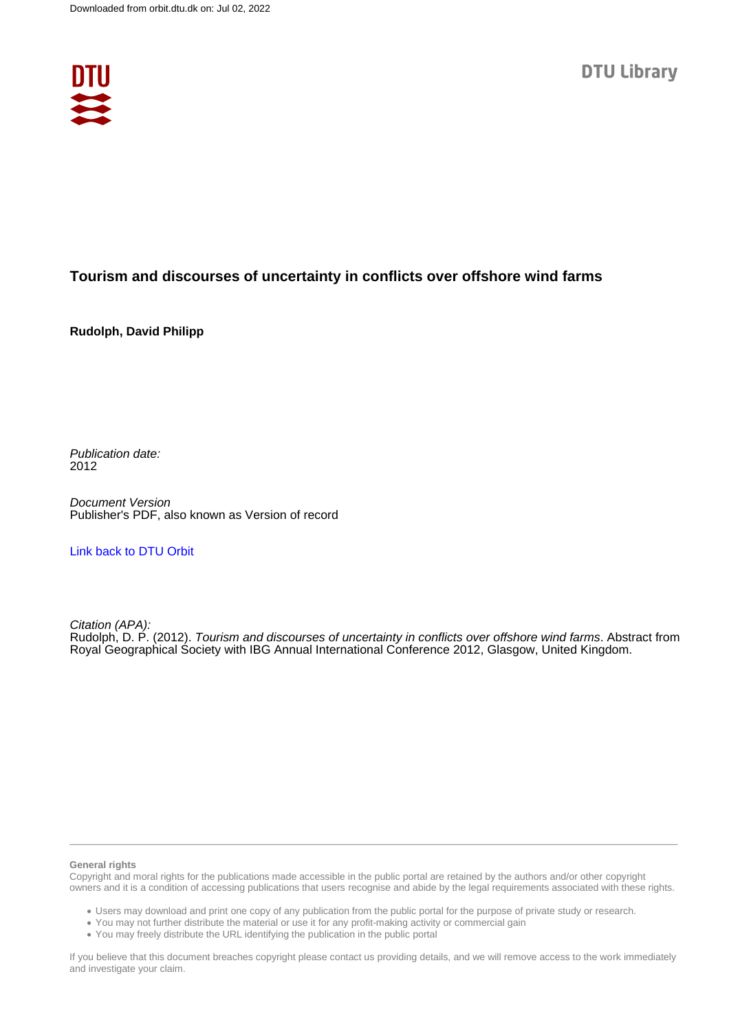

## **Tourism and discourses of uncertainty in conflicts over offshore wind farms**

**Rudolph, David Philipp**

Publication date: 2012

Document Version Publisher's PDF, also known as Version of record

[Link back to DTU Orbit](https://orbit.dtu.dk/en/publications/5a703073-9cae-4dc6-95bd-23501faeaec8)

Citation (APA): Rudolph, D. P. (2012). Tourism and discourses of uncertainty in conflicts over offshore wind farms. Abstract from Royal Geographical Society with IBG Annual International Conference 2012, Glasgow, United Kingdom.

## **General rights**

Copyright and moral rights for the publications made accessible in the public portal are retained by the authors and/or other copyright owners and it is a condition of accessing publications that users recognise and abide by the legal requirements associated with these rights.

Users may download and print one copy of any publication from the public portal for the purpose of private study or research.

- You may not further distribute the material or use it for any profit-making activity or commercial gain
- You may freely distribute the URL identifying the publication in the public portal

If you believe that this document breaches copyright please contact us providing details, and we will remove access to the work immediately and investigate your claim.